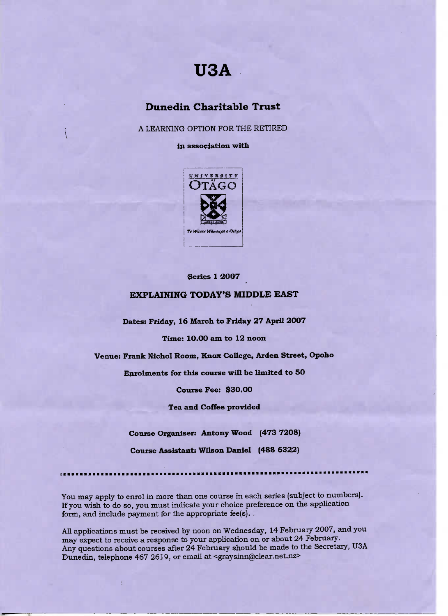# **USA**

## **Dunedin Charitable Trust**

A LEARNING OPTION FOR THE RETIRED

**in association with**



#### **Series 1 20O7**

#### **EXPLAINING TODAY'S MIDDLE EAST**

**Dates: Friday, 16 March to Friday 27 April 2007**

**Time: 10.00 am to 12 noon**

**Venue: Frank Nichol Room, Knox College, Arden Street, Opoho**

**Enrolments for this course will be limited to 50**

**Course Fee: \$30.00**

**Tea and Coffee provided**

**Course Organiser: Antony Wood (473 72O8)**

**Course Assistant; Wilson Daniel (488 6322)**

i ••••••i

You may apply to enrol in more than one course in each series (subject to numbers). If you wish to do so, you must indicate your choice preference on the application form, and include payment for the appropriate fee(s).

All applications must be received by noon on Wednesday, 14 February 2007, and you may expect to receive a response to your application on or about 24 February. Any questions about courses after 24 February should be made to the Secretary, USA Dunedin, telephone 467 2619, or email at <graysinn@clear.net.nz>